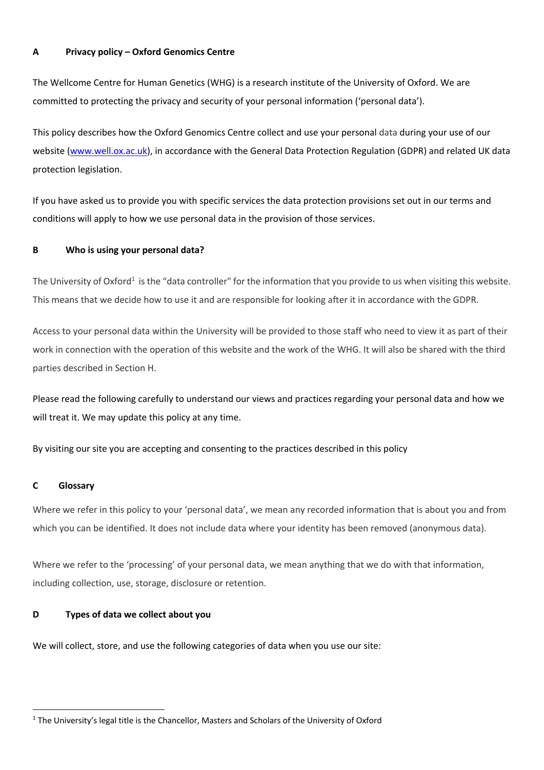## **A Privacy policy – Oxford Genomics Centre**

The Wellcome Centre for Human Genetics (WHG) is a research institute of the University of Oxford. We are committed to protecting the privacy and security of your personal information ('personal data').

This policy describes how the Oxford Genomics Centre collect and use your personal data during your use of our website (www.well.ox.ac.uk), in accordance with the General Data Protection Regulation (GDPR) and related UK data protection legislation.

If you have asked us to provide you with specific services the data protection provisions set out in our terms and conditions will apply to how we use personal data in the provision of those services.

# **B Who is using your personal data?**

The University of Oxford<sup>1</sup> is the "data controller" for the information that you provide to us when visiting this website. This means that we decide how to use it and are responsible for looking after it in accordance with the GDPR.

Access to your personal data within the University will be provided to those staff who need to view it as part of their work in connection with the operation of this website and the work of the WHG. It will also be shared with the third parties described in Section H.

Please read the following carefully to understand our views and practices regarding your personal data and how we will treat it. We may update this policy at any time.

By visiting our site you are accepting and consenting to the practices described in this policy

## **C Glossary**

Where we refer in this policy to your 'personal data', we mean any recorded information that is about you and from which you can be identified. It does not include data where your identity has been removed (anonymous data).

Where we refer to the 'processing' of your personal data, we mean anything that we do with that information, including collection, use, storage, disclosure or retention.

## **D Types of data we collect about you**

We will collect, store, and use the following categories of data when you use our site:

<sup>&</sup>lt;sup>1</sup> The University's legal title is the Chancellor, Masters and Scholars of the University of Oxford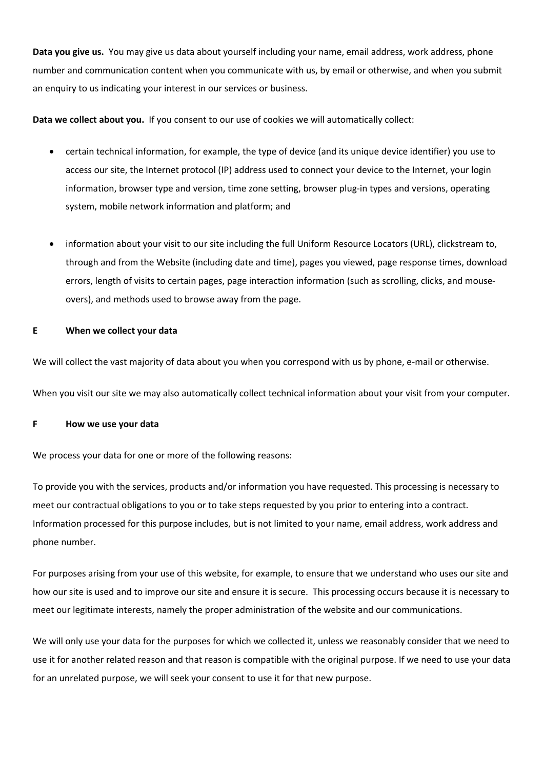**Data you give us.** You may give us data about yourself including your name, email address, work address, phone number and communication content when you communicate with us, by email or otherwise, and when you submit an enquiry to us indicating your interest in our services or business.

**Data we collect about you.** If you consent to our use of cookies we will automatically collect:

- certain technical information, for example, the type of device (and its unique device identifier) you use to access our site, the Internet protocol (IP) address used to connect your device to the Internet, your login information, browser type and version, time zone setting, browser plug-in types and versions, operating system, mobile network information and platform; and
- information about your visit to our site including the full Uniform Resource Locators (URL), clickstream to, through and from the Website (including date and time), pages you viewed, page response times, download errors, length of visits to certain pages, page interaction information (such as scrolling, clicks, and mouseovers), and methods used to browse away from the page.

#### **E When we collect your data**

We will collect the vast majority of data about you when you correspond with us by phone, e-mail or otherwise.

When you visit our site we may also automatically collect technical information about your visit from your computer.

#### **F How we use your data**

We process your data for one or more of the following reasons:

To provide you with the services, products and/or information you have requested. This processing is necessary to meet our contractual obligations to you or to take steps requested by you prior to entering into a contract. Information processed for this purpose includes, but is not limited to your name, email address, work address and phone number.

For purposes arising from your use of this website, for example, to ensure that we understand who uses our site and how our site is used and to improve our site and ensure it is secure. This processing occurs because it is necessary to meet our legitimate interests, namely the proper administration of the website and our communications.

We will only use your data for the purposes for which we collected it, unless we reasonably consider that we need to use it for another related reason and that reason is compatible with the original purpose. If we need to use your data for an unrelated purpose, we will seek your consent to use it for that new purpose.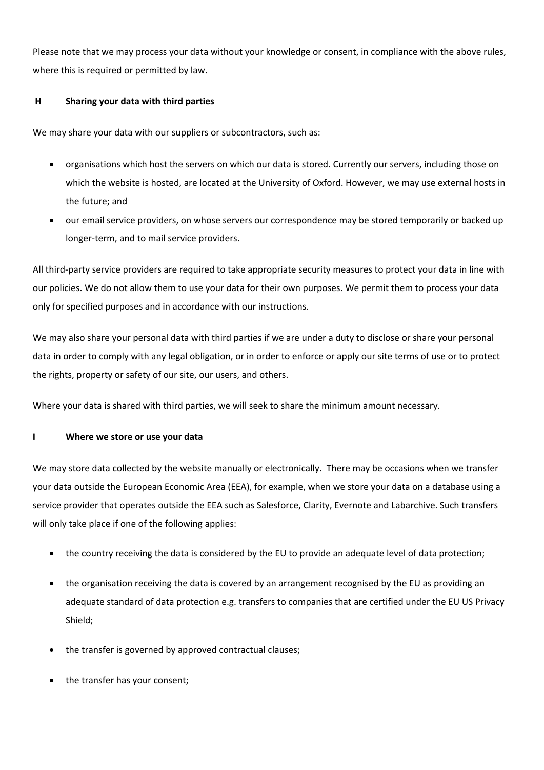Please note that we may process your data without your knowledge or consent, in compliance with the above rules, where this is required or permitted by law.

# **H Sharing your data with third parties**

We may share your data with our suppliers or subcontractors, such as:

- organisations which host the servers on which our data is stored. Currently our servers, including those on which the website is hosted, are located at the University of Oxford. However, we may use external hosts in the future; and
- our email service providers, on whose servers our correspondence may be stored temporarily or backed up longer-term, and to mail service providers.

All third-party service providers are required to take appropriate security measures to protect your data in line with our policies. We do not allow them to use your data for their own purposes. We permit them to process your data only for specified purposes and in accordance with our instructions.

We may also share your personal data with third parties if we are under a duty to disclose or share your personal data in order to comply with any legal obligation, or in order to enforce or apply our site terms of use or to protect the rights, property or safety of our site, our users, and others.

Where your data is shared with third parties, we will seek to share the minimum amount necessary.

## **I Where we store or use your data**

We may store data collected by the website manually or electronically. There may be occasions when we transfer your data outside the European Economic Area (EEA), for example, when we store your data on a database using a service provider that operates outside the EEA such as Salesforce, Clarity, Evernote and Labarchive. Such transfers will only take place if one of the following applies:

- the country receiving the data is considered by the EU to provide an adequate level of data protection;
- the organisation receiving the data is covered by an arrangement recognised by the EU as providing an adequate standard of data protection e.g. transfers to companies that are certified under the EU US Privacy Shield;
- the transfer is governed by approved contractual clauses;
- the transfer has your consent;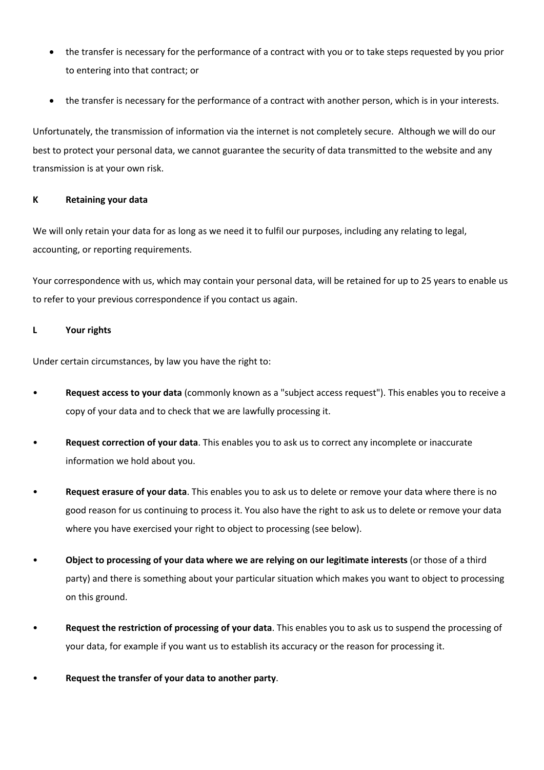- the transfer is necessary for the performance of a contract with you or to take steps requested by you prior to entering into that contract; or
- the transfer is necessary for the performance of a contract with another person, which is in your interests.

Unfortunately, the transmission of information via the internet is not completely secure. Although we will do our best to protect your personal data, we cannot guarantee the security of data transmitted to the website and any transmission is at your own risk.

# **K Retaining your data**

We will only retain your data for as long as we need it to fulfil our purposes, including any relating to legal, accounting, or reporting requirements.

Your correspondence with us, which may contain your personal data, will be retained for up to 25 years to enable us to refer to your previous correspondence if you contact us again.

# **L Your rights**

Under certain circumstances, by law you have the right to:

- **Request access to your data** (commonly known as a "subject access request"). This enables you to receive a copy of your data and to check that we are lawfully processing it.
- **Request correction of your data**. This enables you to ask us to correct any incomplete or inaccurate information we hold about you.
- **Request erasure of your data**. This enables you to ask us to delete or remove your data where there is no good reason for us continuing to process it. You also have the right to ask us to delete or remove your data where you have exercised your right to object to processing (see below).
- **Object to processing of your data where we are relying on our legitimate interests** (or those of a third party) and there is something about your particular situation which makes you want to object to processing on this ground.
- **Request the restriction of processing of your data**. This enables you to ask us to suspend the processing of your data, for example if you want us to establish its accuracy or the reason for processing it.
- **Request the transfer of your data to another party**.